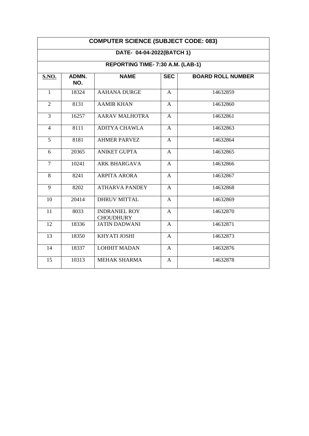| <b>COMPUTER SCIENCE (SUBJECT CODE: 083)</b>                    |       |                                          |              |          |  |  |
|----------------------------------------------------------------|-------|------------------------------------------|--------------|----------|--|--|
| DATE- 04-04-2022(BATCH 1)<br>REPORTING TIME- 7:30 A.M. (LAB-1) |       |                                          |              |          |  |  |
|                                                                |       |                                          |              |          |  |  |
| $\mathbf{1}$                                                   | 18324 | <b>AAHANA DURGE</b>                      | A            | 14632859 |  |  |
| $\overline{2}$                                                 | 8131  | <b>AAMIR KHAN</b>                        | A            | 14632860 |  |  |
| 3                                                              | 16257 | <b>AARAV MALHOTRA</b>                    | $\mathsf{A}$ | 14632861 |  |  |
| $\overline{4}$                                                 | 8111  | <b>ADITYA CHAWLA</b>                     | A            | 14632863 |  |  |
| 5                                                              | 8181  | <b>AHMER PARVEZ</b>                      | A            | 14632864 |  |  |
| 6                                                              | 20365 | <b>ANIKET GUPTA</b>                      | A            | 14632865 |  |  |
| $\overline{7}$                                                 | 10241 | <b>ARK BHARGAVA</b>                      | $\mathsf{A}$ | 14632866 |  |  |
| 8                                                              | 8241  | <b>ARPITA ARORA</b>                      | $\mathbf{A}$ | 14632867 |  |  |
| 9                                                              | 8202  | <b>ATHARVA PANDEY</b>                    | A            | 14632868 |  |  |
| 10                                                             | 20414 | <b>DHRUV MITTAL</b>                      | $\mathsf{A}$ | 14632869 |  |  |
| 11                                                             | 8033  | <b>INDRANIEL ROY</b><br><b>CHOUDHURY</b> | $\mathsf{A}$ | 14632870 |  |  |
| 12                                                             | 18336 | <b>JATIN DADWANI</b>                     | A            | 14632871 |  |  |
| 13                                                             | 18350 | KHYATI JOSHI                             | $\mathsf{A}$ | 14632873 |  |  |
| 14                                                             | 18337 | <b>LOHHIT MADAN</b>                      | A            | 14632876 |  |  |
| 15                                                             | 10313 | <b>MEHAK SHARMA</b>                      | A            | 14632878 |  |  |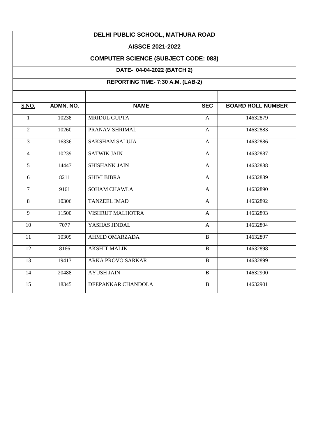# **DELHI PUBLIC SCHOOL, MATHURA ROAD**

#### **AISSCE 2021-2022**

# **COMPUTER SCIENCE (SUBJECT CODE: 083)**

# **DATE- 04-04-2022 (BATCH 2)**

# **REPORTING TIME- 7:30 A.M. (LAB-2)**

| <b>S.NO.</b>   | <b>ADMN. NO.</b> | <b>NAME</b>              | <b>SEC</b>   | <b>BOARD ROLL NUMBER</b> |
|----------------|------------------|--------------------------|--------------|--------------------------|
| $\mathbf{1}$   | 10238            | <b>MRIDUL GUPTA</b>      | $\mathbf{A}$ | 14632879                 |
| $\overline{2}$ | 10260            | PRANAV SHRIMAL           | $\mathsf{A}$ | 14632883                 |
| $\overline{3}$ | 16336            | <b>SAKSHAM SALUJA</b>    | A            | 14632886                 |
| $\overline{4}$ | 10239            | <b>SATWIK JAIN</b>       | A            | 14632887                 |
| 5              | 14447            | <b>SHISHANK JAIN</b>     | A            | 14632888                 |
| 6              | 8211             | <b>SHIVI BIBRA</b>       | $\mathbf{A}$ | 14632889                 |
| $\overline{7}$ | 9161             | <b>SOHAM CHAWLA</b>      | $\mathbf{A}$ | 14632890                 |
| 8              | 10306            | <b>TANZEEL IMAD</b>      | A            | 14632892                 |
| 9              | 11500            | VISHRUT MALHOTRA         | A            | 14632893                 |
| 10             | 7077             | YASHAS JINDAL            | A            | 14632894                 |
| 11             | 10309            | <b>AHMID OMARZADA</b>    | $\mathbf{B}$ | 14632897                 |
| 12             | 8166             | <b>AKSHIT MALIK</b>      | B            | 14632898                 |
| 13             | 19413            | <b>ARKA PROVO SARKAR</b> | B            | 14632899                 |
| 14             | 20488            | <b>AYUSH JAIN</b>        | B            | 14632900                 |
| 15             | 18345            | DEEPANKAR CHANDOLA       | $\mathbf{B}$ | 14632901                 |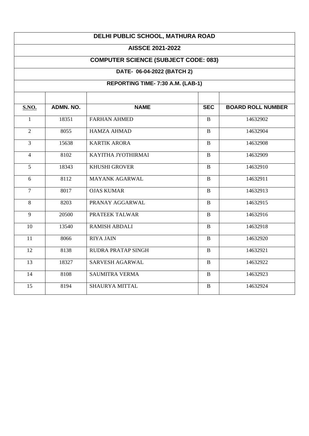# **DELHI PUBLIC SCHOOL, MATHURA ROAD**

#### **AISSCE 2021-2022**

# **COMPUTER SCIENCE (SUBJECT CODE: 083)**

# **DATE- 06-04-2022 (BATCH 2)**

# **REPORTING TIME- 7:30 A.M. (LAB-1)**

| <b>S.NO.</b>   | ADMN, NO. | <b>NAME</b>               | <b>SEC</b>   | <b>BOARD ROLL NUMBER</b> |
|----------------|-----------|---------------------------|--------------|--------------------------|
| 1              | 18351     | <b>FARHAN AHMED</b>       | $\mathbf{B}$ | 14632902                 |
| $\overline{2}$ | 8055      | <b>HAMZA AHMAD</b>        | $\mathbf{B}$ | 14632904                 |
| $\overline{3}$ | 15638     | <b>KARTIK ARORA</b>       | $\bf{B}$     | 14632908                 |
| $\overline{4}$ | 8102      | KAYITHA JYOTHIRMAI        | $\mathbf{B}$ | 14632909                 |
| 5              | 18343     | <b>KHUSHI GROVER</b>      | $\mathbf{B}$ | 14632910                 |
| 6              | 8112      | <b>MAYANK AGARWAL</b>     | $\mathbf{B}$ | 14632911                 |
| $\overline{7}$ | 8017      | <b>OJAS KUMAR</b>         | B            | 14632913                 |
| 8              | 8203      | PRANAY AGGARWAL           | B            | 14632915                 |
| 9              | 20500     | PRATEEK TALWAR            | B            | 14632916                 |
| 10             | 13540     | <b>RAMISH ABDALI</b>      | $\mathbf{B}$ | 14632918                 |
| 11             | 8066      | <b>RIYA JAIN</b>          | $\mathbf{B}$ | 14632920                 |
| 12             | 8138      | <b>RUDRA PRATAP SINGH</b> | $\mathbf{B}$ | 14632921                 |
| 13             | 18327     | <b>SARVESH AGARWAL</b>    | B            | 14632922                 |
| 14             | 8108      | <b>SAUMITRA VERMA</b>     | $\mathbf{B}$ | 14632923                 |
| 15             | 8194      | <b>SHAURYA MITTAL</b>     | $\mathbf{B}$ | 14632924                 |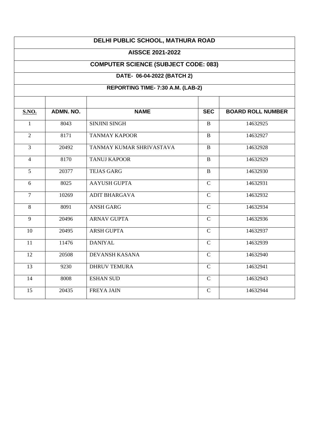| DELHI PUBLIC SCHOOL, MATHURA ROAD           |           |                          |                |                          |  |  |
|---------------------------------------------|-----------|--------------------------|----------------|--------------------------|--|--|
| <b>AISSCE 2021-2022</b>                     |           |                          |                |                          |  |  |
| <b>COMPUTER SCIENCE (SUBJECT CODE: 083)</b> |           |                          |                |                          |  |  |
| DATE- 06-04-2022 (BATCH 2)                  |           |                          |                |                          |  |  |
| REPORTING TIME-7:30 A.M. (LAB-2)            |           |                          |                |                          |  |  |
|                                             |           |                          |                |                          |  |  |
| <b>S.NO.</b>                                | ADMN. NO. | <b>NAME</b>              | <b>SEC</b>     | <b>BOARD ROLL NUMBER</b> |  |  |
| $\mathbf{1}$                                | 8043      | <b>SINJINI SINGH</b>     | $\mathbf{B}$   | 14632925                 |  |  |
| $\overline{2}$                              | 8171      | <b>TANMAY KAPOOR</b>     | $\, {\bf B}$   | 14632927                 |  |  |
| $\overline{3}$                              | 20492     | TANMAY KUMAR SHRIVASTAVA | $\mathbf{B}$   | 14632928                 |  |  |
| $\overline{4}$                              | 8170      | <b>TANUJ KAPOOR</b>      | $\, {\bf B}$   | 14632929                 |  |  |
| $\overline{5}$                              | 20377     | <b>TEJAS GARG</b>        | $\mathbf{B}$   | 14632930                 |  |  |
| 6                                           | 8025      | <b>AAYUSH GUPTA</b>      | $\overline{C}$ | 14632931                 |  |  |
| $\overline{7}$                              | 10269     | <b>ADIT BHARGAVA</b>     | $\mathbf C$    | 14632932                 |  |  |
| 8                                           | 8091      | <b>ANSH GARG</b>         | $\mathsf{C}$   | 14632934                 |  |  |
| $\overline{9}$                              | 20496     | <b>ARNAV GUPTA</b>       | $\overline{C}$ | 14632936                 |  |  |
| 10                                          | 20495     | <b>ARSH GUPTA</b>        | $\overline{C}$ | 14632937                 |  |  |
| 11                                          | 11476     | <b>DANIYAL</b>           | $\overline{C}$ | 14632939                 |  |  |
| 12                                          | 20508     | <b>DEVANSH KASANA</b>    | $\mathbf C$    | 14632940                 |  |  |
| $\overline{13}$                             | 9230      | <b>DHRUV TEMURA</b>      | $\overline{C}$ | 14632941                 |  |  |
| 14                                          | 8008      | <b>ESHAN SUD</b>         | $\overline{C}$ | 14632943                 |  |  |
| 15                                          | 20435     | <b>FREYA JAIN</b>        | $\mathbf C$    | 14632944                 |  |  |